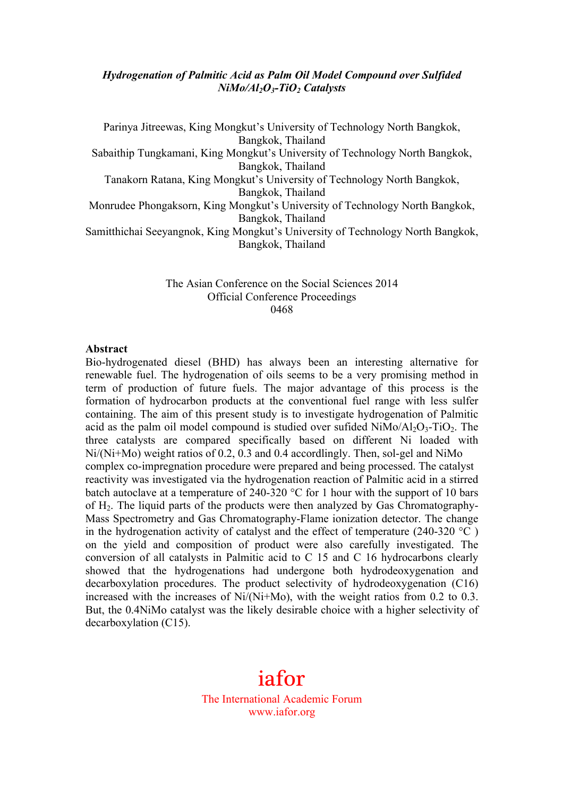#### *Hydrogenation of Palmitic Acid as Palm Oil Model Compound over Sulfided NiMo/Al2O3-TiO2 Catalysts*

Parinya Jitreewas, King Mongkut's University of Technology North Bangkok, Bangkok, Thailand Sabaithip Tungkamani, King Mongkut's University of Technology North Bangkok, Bangkok, Thailand Tanakorn Ratana, King Mongkut's University of Technology North Bangkok, Bangkok, Thailand Monrudee Phongaksorn, King Mongkut's University of Technology North Bangkok, Bangkok, Thailand Samitthichai Seeyangnok, King Mongkut's University of Technology North Bangkok, Bangkok, Thailand

> The Asian Conference on the Social Sciences 2014 Official Conference Proceedings 0468

#### **Abstract**

Bio-hydrogenated diesel (BHD) has always been an interesting alternative for renewable fuel. The hydrogenation of oils seems to be a very promising method in term of production of future fuels. The major advantage of this process is the formation of hydrocarbon products at the conventional fuel range with less sulfer containing. The aim of this present study is to investigate hydrogenation of Palmitic acid as the palm oil model compound is studied over sufided  $NiMo/Al<sub>2</sub>O<sub>3</sub>$ -TiO<sub>2</sub>. The three catalysts are compared specifically based on different Ni loaded with Ni/(Ni+Mo) weight ratios of 0.2, 0.3 and 0.4 accordlingly. Then, sol-gel and NiMo complex co-impregnation procedure were prepared and being processed. The catalyst reactivity was investigated via the hydrogenation reaction of Palmitic acid in a stirred batch autoclave at a temperature of 240-320 °C for 1 hour with the support of 10 bars of  $H_2$ . The liquid parts of the products were then analyzed by Gas Chromatography-Mass Spectrometry and Gas Chromatography-Flame ionization detector. The change in the hydrogenation activity of catalyst and the effect of temperature (240-320  $^{\circ}$ C) on the yield and composition of product were also carefully investigated. The conversion of all catalysts in Palmitic acid to C 15 and C 16 hydrocarbons clearly showed that the hydrogenations had undergone both hydrodeoxygenation and decarboxylation procedures. The product selectivity of hydrodeoxygenation (C16) increased with the increases of  $Ni/(Ni+Mo)$ , with the weight ratios from 0.2 to 0.3. But, the 0.4NiMo catalyst was the likely desirable choice with a higher selectivity of decarboxylation (C15).

# iafor

The International Academic Forum www.iafor.org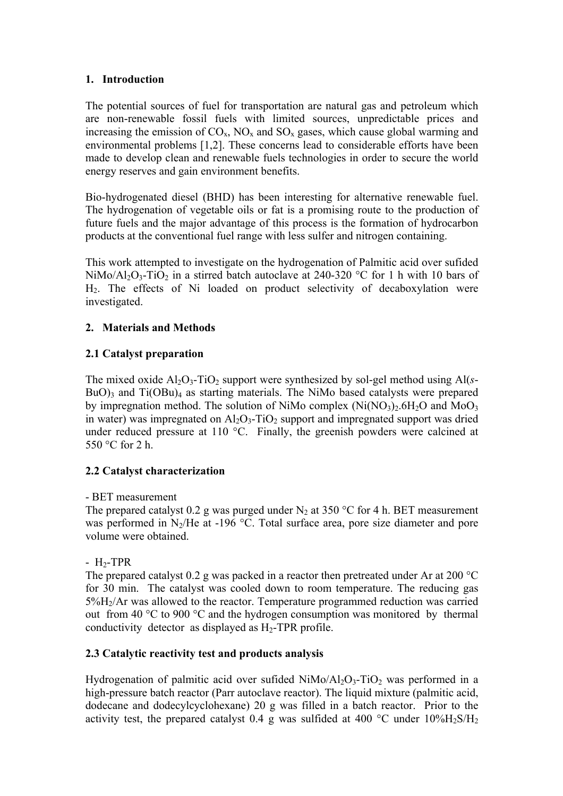## **1. Introduction**

The potential sources of fuel for transportation are natural gas and petroleum which are non-renewable fossil fuels with limited sources, unpredictable prices and increasing the emission of  $CO_x$ ,  $NO_x$  and  $SO_x$  gases, which cause global warming and environmental problems [1,2]. These concerns lead to considerable efforts have been made to develop clean and renewable fuels technologies in order to secure the world energy reserves and gain environment benefits.

Bio-hydrogenated diesel (BHD) has been interesting for alternative renewable fuel. The hydrogenation of vegetable oils or fat is a promising route to the production of future fuels and the major advantage of this process is the formation of hydrocarbon products at the conventional fuel range with less sulfer and nitrogen containing.

This work attempted to investigate on the hydrogenation of Palmitic acid over sufided NiMo/Al<sub>2</sub>O<sub>3</sub>-TiO<sub>2</sub> in a stirred batch autoclave at 240-320 °C for 1 h with 10 bars of H2. The effects of Ni loaded on product selectivity of decaboxylation were investigated.

## **2. Materials and Methods**

# **2.1 Catalyst preparation**

The mixed oxide  $A_1O_3$ -TiO<sub>2</sub> support were synthesized by sol-gel method using  $A1(s BuO$ <sub>3</sub> and Ti $(OBu)$ <sub>4</sub> as starting materials. The NiMo based catalysts were prepared by impregnation method. The solution of NiMo complex  $(Ni(NO<sub>3</sub>)<sub>2</sub>.6H<sub>2</sub>O$  and MoO<sub>3</sub> in water) was impregnated on  $\text{Al}_2\text{O}_3$ -TiO<sub>2</sub> support and impregnated support was dried under reduced pressure at 110 °C. Finally, the greenish powders were calcined at 550 °C for 2 h.

## **2.2 Catalyst characterization**

## - BET measurement

The prepared catalyst 0.2 g was purged under  $N_2$  at 350 °C for 4 h. BET measurement was performed in N<sub>2</sub>/He at -196  $^{\circ}$ C. Total surface area, pore size diameter and pore volume were obtained.

## $-H<sub>2</sub>-TPR$

The prepared catalyst 0.2 g was packed in a reactor then pretreated under Ar at 200 °C for 30 min. The catalyst was cooled down to room temperature. The reducing gas 5%H2/Ar was allowed to the reactor. Temperature programmed reduction was carried out from 40 °C to 900 °C and the hydrogen consumption was monitored by thermal conductivity detector as displayed as  $H_2$ -TPR profile.

# **2.3 Catalytic reactivity test and products analysis**

Hydrogenation of palmitic acid over sufided  $NiMo/Al_2O_3-TiO_2$  was performed in a high-pressure batch reactor (Parr autoclave reactor). The liquid mixture (palmitic acid, dodecane and dodecylcyclohexane) 20 g was filled in a batch reactor. Prior to the activity test, the prepared catalyst 0.4 g was sulfided at 400  $^{\circ}$ C under 10%H<sub>2</sub>S/H<sub>2</sub>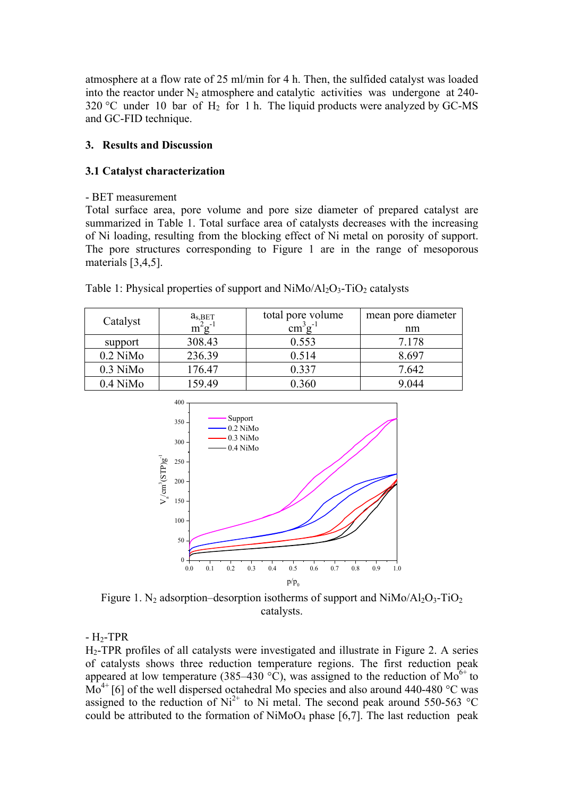atmosphere at a flow rate of 25 ml/min for 4 h. Then, the sulfided catalyst was loaded into the reactor under  $N_2$  atmosphere and catalytic activities was undergone at 240- $320 \degree C$  under 10 bar of H<sub>2</sub> for 1 h. The liquid products were analyzed by GC-MS and GC-FID technique.

## **3. Results and Discussion**

## **3.1 Catalyst characterization**

## - BET measurement

Total surface area, pore volume and pore size diameter of prepared catalyst are summarized in Table 1. Total surface area of catalysts decreases with the increasing of Ni loading, resulting from the blocking effect of Ni metal on porosity of support. The pore structures corresponding to Figure 1 are in the range of mesoporous materials [3,4,5].

| Catalyst   | $a_{s,BET}$ | total pore volume           | mean pore diameter |
|------------|-------------|-----------------------------|--------------------|
|            | $m^2g^{-1}$ | $\text{cm}^3 \text{g}^{-1}$ | nm                 |
| support    | 308.43      | 0.553                       | 7.178              |
| $0.2$ NiMo | 236.39      | 0.514                       | 8.697              |
| $0.3$ NiMo | 176.47      | 0.337                       | 7.642              |
| $0.4$ NiMo | 159.49      | 0.360                       | 9.044              |

| Table 1: Physical properties of support and $NiMo/Al_2O_3-TiO_2$ catalysts |  |  |  |  |
|----------------------------------------------------------------------------|--|--|--|--|
|----------------------------------------------------------------------------|--|--|--|--|



Figure 1. N<sub>2</sub> adsorption–desorption isotherms of support and  $NiMo/Al<sub>2</sub>O<sub>3</sub>$ -TiO<sub>2</sub> catalysts.

 $-H<sub>2</sub>-TPR$ 

H2-TPR profiles of all catalysts were investigated and illustrate in Figure 2. A series of catalysts shows three reduction temperature regions. The first reduction peak appeared at low temperature (385–430 °C), was assigned to the reduction of  $Mo^{6+}$  to  $\overline{Mo}^{4+}$  [6] of the well dispersed octahedral Mo species and also around 440-480 °C was assigned to the reduction of  $Ni^{2+}$  to Ni metal. The second peak around 550-563 °C could be attributed to the formation of  $NiMoO<sub>4</sub>$  phase [6,7]. The last reduction peak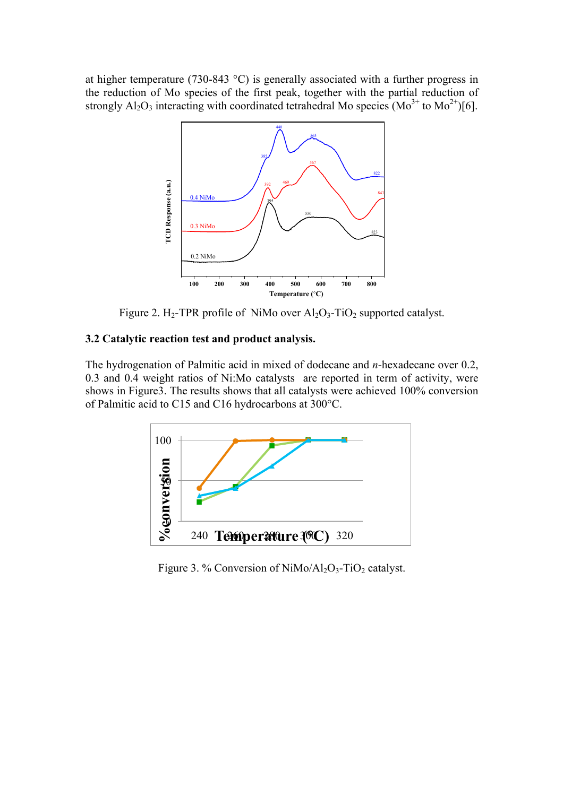at higher temperature (730-843 °C) is generally associated with a further progress in the reduction of Mo species of the first peak, together with the partial reduction of strongly  $Al_2O_3$  interacting with coordinated tetrahedral Mo species  $(Mo^{3+}$  to  $Mo^{2+})[6]$ .



Figure 2. H<sub>2</sub>-TPR profile of NiMo over  $Al_2O_3$ -TiO<sub>2</sub> supported catalyst.

## **3.2 Catalytic reaction test and product analysis.**

The hydrogenation of Palmitic acid in mixed of dodecane and *n*-hexadecane over 0.2, 0.3 and 0.4 weight ratios of Ni:Mo catalysts are reported in term of activity, were shows in Figure3. The results shows that all catalysts were achieved 100% conversion of Palmitic acid to C15 and C16 hydrocarbons at 300°C.



Figure 3. % Conversion of  $NiMo/Al_2O_3-TiO_2$  catalyst.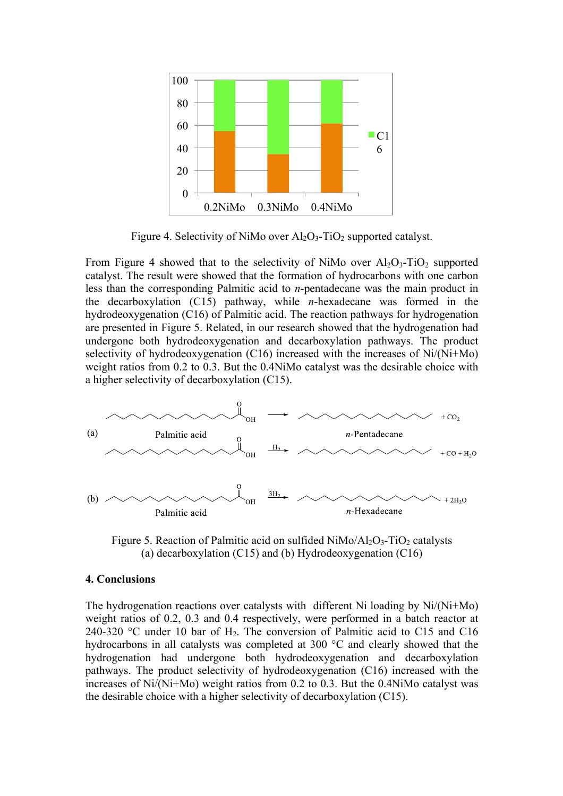

Figure 4. Selectivity of NiMo over  $Al_2O_3$ -TiO<sub>2</sub> supported catalyst.

From Figure 4 showed that to the selectivity of NiMo over  $Al_2O_3$ -TiO<sub>2</sub> supported catalyst. The result were showed that the formation of hydrocarbons with one carbon less than the corresponding Palmitic acid to *n*-pentadecane was the main product in the decarboxylation (C15) pathway, while *n*-hexadecane was formed in the hydrodeoxygenation (C16) of Palmitic acid. The reaction pathways for hydrogenation are presented in Figure 5. Related, in our research showed that the hydrogenation had undergone both hydrodeoxygenation and decarboxylation pathways. The product selectivity of hydrodeoxygenation (C16) increased with the increases of Ni/(Ni+Mo) weight ratios from 0.2 to 0.3. But the 0.4NiMo catalyst was the desirable choice with a higher selectivity of decarboxylation (C15).



Figure 5. Reaction of Palmitic acid on sulfided  $NiMo/Al_2O_3-TiO_2$  catalysts (a) decarboxylation (C15) and (b) Hydrodeoxygenation (C16)

#### **4. Conclusions**

The hydrogenation reactions over catalysts with different Ni loading by Ni/(Ni+Mo) weight ratios of 0.2, 0.3 and 0.4 respectively, were performed in a batch reactor at 240-320 °C under 10 bar of  $H_2$ . The conversion of Palmitic acid to C15 and C16 hydrocarbons in all catalysts was completed at 300 °C and clearly showed that the hydrogenation had undergone both hydrodeoxygenation and decarboxylation pathways. The product selectivity of hydrodeoxygenation (C16) increased with the increases of Ni/(Ni+Mo) weight ratios from 0.2 to 0.3. But the 0.4NiMo catalyst was the desirable choice with a higher selectivity of decarboxylation (C15).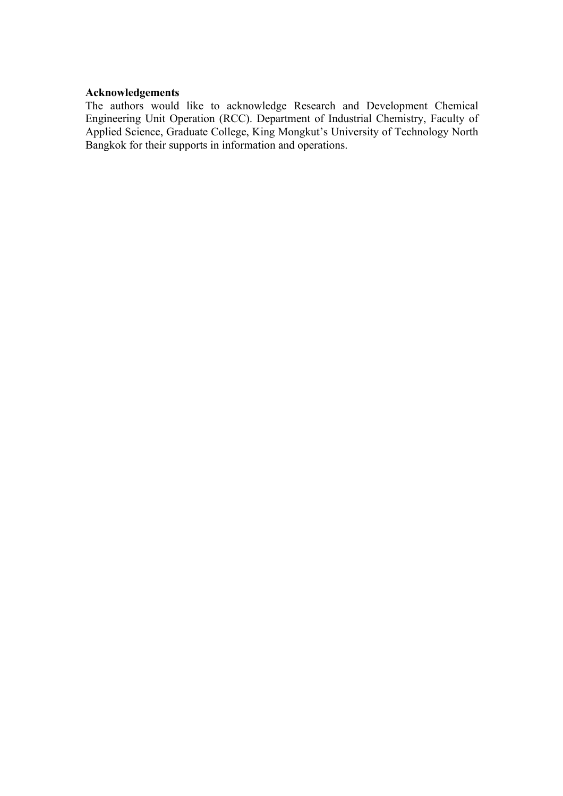## **Acknowledgements**

The authors would like to acknowledge Research and Development Chemical Engineering Unit Operation (RCC). Department of Industrial Chemistry, Faculty of Applied Science, Graduate College, King Mongkut's University of Technology North Bangkok for their supports in information and operations.